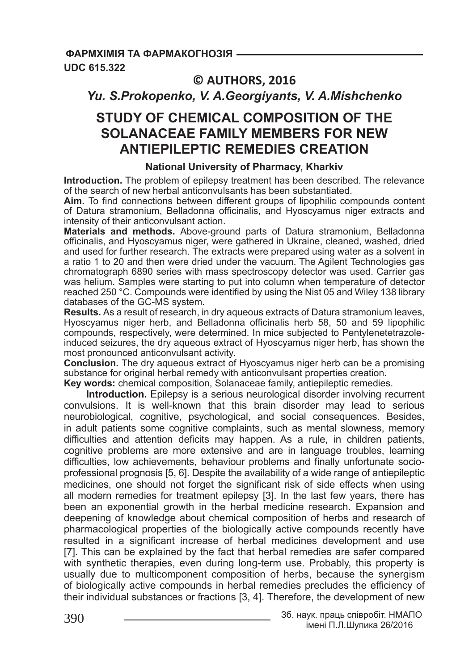## **© AUTHORS, 2016**

# *Yu. S.Prokopenko, V. A.Georgiyants, V. A.Mishchenko*

# **STUDY OF CHEMICAL COMPOSITION OF THE SOLANACEAE FAMILY MEMBERS FOR NEW ANTIEPILEPTIC REMEDIES CREATION**

## **National University of Pharmacy, Kharkiv**

**Introduction.** The problem of epilepsy treatment has been described. The relevance of the search of new herbal anticonvulsants has been substantiated.

**Aim.** To find connections between different groups of lipophilic compounds content of Datura stramonium, Belladonna officinalis, and Hyoscyamus niger extracts and intensity of their anticonvulsant action.

**Materials and methods.** Above-ground parts of Datura stramonium, Belladonna officinalis, and Hyoscyamus niger, were gathered in Ukraine, cleaned, washed, dried and used for further research. The extracts were prepared using water as a solvent in a ratio 1 to 20 and then were dried under the vacuum. The Agilent Technologies gas chromatograph 6890 series with mass spectroscopy detector was used. Carrier gas was helium. Samples were starting to put into column when temperature of detector reached 250 °C. Compounds were identified by using the Nist 05 and Wiley 138 library databases of the GC-MS system.

**Results.** As a result of research, in dry aqueous extracts of Datura stramonium leaves, Hyoscyamus niger herb, and Belladonna officinalis herb 58, 50 and 59 lipophilic compounds, respectively, were determined. In mice subjected to Pentylenetetrazoleinduced seizures, the dry aqueous extract of Hyoscyamus niger herb, has shown the most pronounced anticonvulsant activity.

**Conclusion.** The dry aqueous extract of Hyoscyamus niger herb can be a promising substance for original herbal remedy with anticonvulsant properties creation.

**Key words:** chemical composition, Solanaceae family, antiepileptic remedies.

**Introduction.** Epilepsy is a serious neurological disorder involving recurrent convulsions. It is well-known that this brain disorder may lead to serious neurobiological, cognitive, psychological, and social consequences. Besides, in adult patients some cognitive complaints, such as mental slowness, memory difficulties and attention deficits may happen. As a rule, in children patients, cognitive problems are more extensive and are in language troubles, learning difficulties, low achievements, behaviour problems and finally unfortunate socioprofessional prognosis [5, 6]. Despite the availability of a wide range of antiepileptic medicines, one should not forget the significant risk of side effects when using all modern remedies for treatment epilepsy [3]. In the last few years, there has been an exponential growth in the herbal medicine research. Expansion and deepening of knowledge about chemical composition of herbs and research of pharmacological properties of the biologically active compounds recently have resulted in a significant increase of herbal medicines development and use [7]. This can be explained by the fact that herbal remedies are safer compared with synthetic therapies, even during long-term use. Probably, this property is usually due to multicomponent composition of herbs, because the synergism of biologically active compounds in herbal remedies precludes the efficiency of their individual substances or fractions [3, 4]. Therefore, the development of new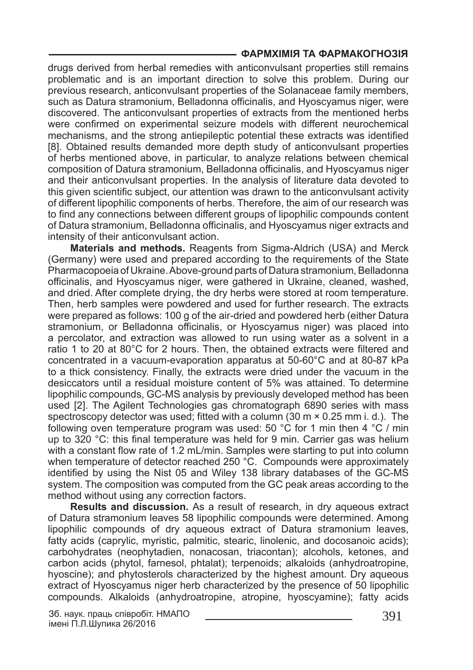drugs derived from herbal remedies with anticonvulsant properties still remains problematic and is an important direction to solve this problem. During our previous research, anticonvulsant properties of the Solanaceae family members, such as Datura stramonium, Belladonna officinalis, and Hyoscyamus niger, were discovered. The anticonvulsant properties of extracts from the mentioned herbs were confirmed on experimental seizure models with different neurochemical mechanisms, and the strong antiepileptic potential these extracts was identified [8]. Obtained results demanded more depth study of anticonvulsant properties of herbs mentioned above, in particular, to analyze relations between chemical composition of Datura stramonium, Belladonna officinalis, and Hyoscyamus niger and their anticonvulsant properties. In the analysis of literature data devoted to this given scientific subject, our attention was drawn to the anticonvulsant activity of different lipophilic components of herbs. Therefore, the aim of our research was to find any connections between different groups of lipophilic compounds content of Datura stramonium, Belladonna officinalis, and Hyoscyamus niger extracts and intensity of their anticonvulsant action.

**Materials and methods.** Reagents from Sigma-Aldrich (USA) and Merck (Germany) were used and prepared according to the requirements of the State Pharmacopoeia of Ukraine. Above-ground parts of Datura stramonium, Belladonna officinalis, and Hyoscyamus niger, were gathered in Ukraine, cleaned, washed, and dried. After complete drying, the dry herbs were stored at room temperature. Then, herb samples were powdered and used for further research. The extracts were prepared as follows: 100 g of the air-dried and powdered herb (either Datura stramonium, or Belladonna officinalis, or Hyoscyamus niger) was placed into a percolator, and extraction was allowed to run using water as a solvent in a ratio 1 to 20 at 80°C for 2 hours. Then, the obtained extracts were filtered and concentrated in a vacuum-evaporation apparatus at 50-60°C and at 80-87 kPa to a thick consistency. Finally, the extracts were dried under the vacuum in the desiccators until a residual moisture content of 5% was attained. To determine lipophilic compounds, GC-MS analysis by previously developed method has been used [2]. The Agilent Technologies gas chromatograph 6890 series with mass spectroscopy detector was used; fitted with a column (30 m × 0.25 mm i. d.). The following oven temperature program was used: 50 °C for 1 min then 4 °C / min up to 320 °C: this final temperature was held for 9 min. Carrier gas was helium with a constant flow rate of 1.2 mL/min. Samples were starting to put into column when temperature of detector reached 250 °C. Compounds were approximately identified by using the Nist 05 and Wiley 138 library databases of the GC-MS system. The composition was computed from the GC peak areas according to the method without using any correction factors.

**Results and discussion.** As a result of research, in dry aqueous extract of Datura stramonium leaves 58 lipophilic compounds were determined. Among lipophilic compounds of dry aqueous extract of Datura stramonium leaves, fatty acids (caprylic, myristic, palmitic, stearic, linolenic, and docosanoic acids); carbohydrates (neophytadien, nonacosan, triacontan); alcohols, ketones, and carbon acids (phytol, farnesol, phtalat); terpenoids; alkaloids (anhydroatropine, hyoscine); and phytosterols characterized by the highest amount. Dry aqueous extract of Hyoscyamus niger herb characterized by the presence of 50 lipophilic compounds. Alkaloids (anhydroatropine, atropine, hyoscyamine); fatty acids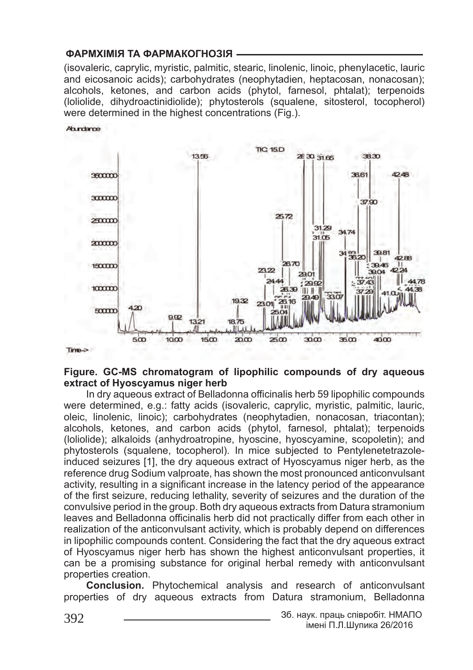(isovaleric, caprylic, myristic, palmitic, stearic, linolenic, linoic, phenylacetic, lauric and eicosanoic acids); carbohydrates (neophytadien, heptacosan, nonacosan); alcohols, ketones, and carbon acids (phytol, farnesol, phtalat); terpenoids (loliolide, dihydroactinidiolide); phytosterols (squalene, sitosterol, tocopherol) were determined in the highest concentrations (Fig.).



#### **Figure. GC-MS chromatogram of lipophilic compounds of dry aqueous extract of Hyoscyamus niger herb**

In dry aqueous extract of Belladonna officinalis herb 59 lipophilic compounds were determined, e.g.: fatty acids (isovaleric, caprylic, myristic, palmitic, lauric, oleic, linolenic, linoic); carbohydrates (neophytadien, nonacosan, triacontan); alcohols, ketones, and carbon acids (phytol, farnesol, phtalat); terpenoids (loliolide); alkaloids (anhydroatropine, hyoscine, hyoscyamine, scopoletin); and phytosterols (squalene, tocopherol). In mice subjected to Pentylenetetrazoleinduced seizures [1], the dry aqueous extract of Hyoscyamus niger herb, as the reference drug Sodium valproate, has shown the most pronounced anticonvulsant activity, resulting in a significant increase in the latency period of the appearance of the first seizure, reducing lethality, severity of seizures and the duration of the convulsive period in the group. Both dry aqueous extracts from Datura stramonium leaves and Belladonna officinalis herb did not practically differ from each other in realization of the anticonvulsant activity, which is probably depend on differences in lipophilic compounds content. Considering the fact that the dry aqueous extract of Hyoscyamus niger herb has shown the highest anticonvulsant properties, it can be a promising substance for original herbal remedy with anticonvulsant properties creation.

**Conclusion.** Phytochemical analysis and research of anticonvulsant properties of dry aqueous extracts from Datura stramonium, Belladonna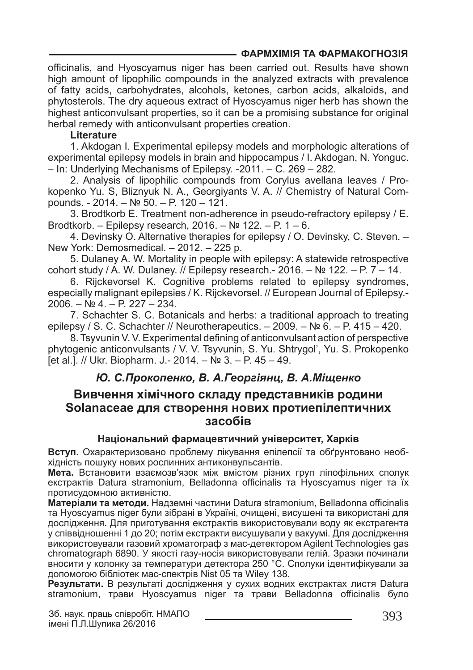officinalis, and Hyoscyamus niger has been carried out. Results have shown high amount of lipophilic compounds in the analyzed extracts with prevalence of fatty acids, carbohydrates, alcohols, ketones, carbon acids, alkaloids, and phytosterols. The dry aqueous extract of Hyoscyamus niger herb has shown the highest anticonvulsant properties, so it can be a promising substance for original herbal remedy with anticonvulsant properties creation.

#### **Literature**

1. Akdogan I. Experimental epilepsy models and morphologic alterations of experimental epilepsy models in brain and hippocampus / I. Akdogan, N. Yonguc. – In: Underlying Mechanisms of Epilepsy. -2011. – C. 269 – 282.

2. Analysis of lipophilic compounds from Corylus avellana leaves / Prokopenko Yu. S, Bliznyuk N. A., Georgiyants V. A. // Chemistry of Natural Compounds. - 2014. – № 50. – P. 120 – 121.

3. Brodtkorb E. Treatment non-adherence in pseudo-refractory epilepsy / E. Brodtkorb. – Epilepsy research, 2016. – № 122. – P. 1 – 6.

4. Devinsky O. Alternative therapies for epilepsy / O. Devinsky, C. Steven. – New York: Demosmedical. – 2012. – 225 p.

5. Dulaney A. W. Mortality in people with epilepsy: A statewide retrospective cohort study / A. W. Dulaney. // Epilepsy research. - 2016. – № 122. – P. 7 – 14.

6. Rijckevorsel K. Cognitive problems related to epilepsy syndromes, especially malignant epilepsies / K. Rijckevorsel. // European Journal of Epilepsy.- 2006. – № 4. – P. 227 – 234.

7. Schachter S. C. Botanicals and herbs: a traditional approach to treating epilepsy / S. C. Schachter // Neurotherapeutics.  $-2009$ .  $-$  Nº 6.  $-$  P. 415  $-$  420.

8. Tsyvunin V. V. Experimental defining of anticonvulsant action of perspective phytogenic anticonvulsants / V. V. Tsyvunin, S. Yu. Shtrygol', Yu. S. Prokopenko [et al.]. // Ukr. Biopharm. J.- 2014. – № 3. – P. 45 – 49.

## *Ю. С.Прокопенко, В. А.Георгіянц, В. А.Міщенко*

## **Вивчення хімічного складу представників родини Solanaceae для створення нових протиепілептичних засобів**

### **Національний фармацевтичний університет, Харків**

**Вступ.** Охарактеризовано проблему лікування епілепсії та обґрунтовано необхідність пошуку нових рослинних антиконвульсантів.

**Мета.** Встановити взаємозв'язок між вмістом різних груп ліпофільних сполук екстрактів Datura stramonium, Belladonna officinalis та Hyoscyamus niger та їх протисудомною активністю.

**Матеріали та методи.** Надземні частини Datura stramonium, Belladonna officinalis та Hyoscyamus niger були зібрані в Україні, очищені, висушені та використані для дослідження. Для приготування екстрактів використовували воду як екстрагента у співвідношенні 1 до 20; потім екстракти висушували у вакуумі. Для дослідження використовували газовий хроматограф з мас-детектором Agilent Technologies gas chromatograph 6890. У якості газу-носія використовували гелій. Зразки починали вносити у колонку за температури детектора 250 °C. Сполуки ідентифікували за допомогою бібліотек мас-спектрів Nist 05 та Wiley 138.

**Результати.** В результаті дослідження у сухих водних екстрактах листя Datura stramonium, трави Hyoscyamus niger та трави Belladonna officinalis було